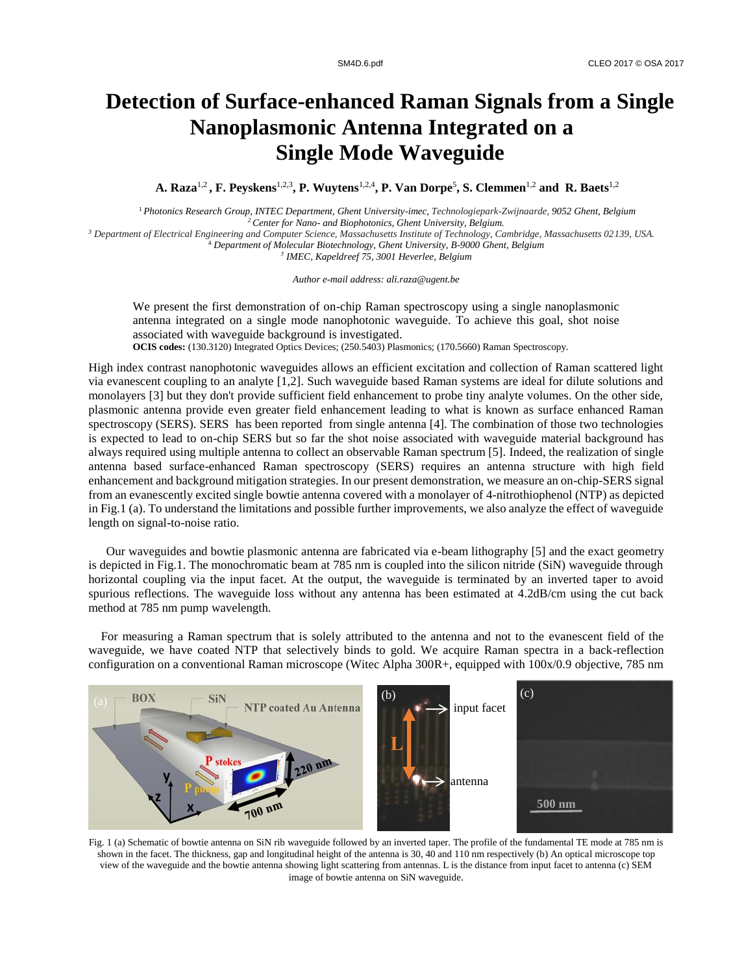## **Detection of Surface-enhanced Raman Signals from a Single Nanoplasmonic Antenna Integrated on a Single Mode Waveguide**

**A. Raza**1,2 **, F. Peyskens**1,2,3**, P. Wuytens**1,2,4**, P. Van Dorpe**<sup>5</sup> **, S. Clemmen**1,2 **and R. Baets**1,2

<sup>1</sup>*Photonics Research Group, INTEC Department, Ghent University-imec, Technologiepark-Zwijnaarde, 9052 Ghent, Belgium <sup>2</sup>Center for Nano- and Biophotonics, Ghent University, Belgium.*

*<sup>3</sup> Department of Electrical Engineering and Computer Science, Massachusetts Institute of Technology, Cambridge, Massachusetts 02139, USA.* <sup>4</sup> *Department of Molecular Biotechnology, Ghent University, B-9000 Ghent, Belgium*

*5 IMEC, Kapeldreef 75, 3001 Heverlee, Belgium*

*Author e-mail address: ali.raza@ugent.be*

We present the first demonstration of on-chip Raman spectroscopy using a single nanoplasmonic antenna integrated on a single mode nanophotonic waveguide. To achieve this goal, shot noise associated with waveguide background is investigated. **OCIS codes:** (130.3120) Integrated Optics Devices; (250.5403) Plasmonics; (170.5660) Raman Spectroscopy.

High index contrast nanophotonic waveguides allows an efficient excitation and collection of Raman scattered light via evanescent coupling to an analyte [1,2]. Such waveguide based Raman systems are ideal for dilute solutions and monolayers [3] but they don't provide sufficient field enhancement to probe tiny analyte volumes. On the other side, plasmonic antenna provide even greater field enhancement leading to what is known as surface enhanced Raman spectroscopy (SERS). SERS has been reported from single antenna [4]. The combination of those two technologies is expected to lead to on-chip SERS but so far the shot noise associated with waveguide material background has always required using multiple antenna to collect an observable Raman spectrum [5]. Indeed, the realization of single antenna based surface-enhanced Raman spectroscopy (SERS) requires an antenna structure with high field enhancement and background mitigation strategies. In our present demonstration, we measure an on-chip-SERS signal from an evanescently excited single bowtie antenna covered with a monolayer of 4-nitrothiophenol (NTP) as depicted in Fig.1 (a). To understand the limitations and possible further improvements, we also analyze the effect of waveguide length on signal-to-noise ratio.

Our waveguides and bowtie plasmonic antenna are fabricated via e-beam lithography [5] and the exact geometry is depicted in Fig.1. The monochromatic beam at 785 nm is coupled into the silicon nitride (SiN) waveguide through horizontal coupling via the input facet. At the output, the waveguide is terminated by an inverted taper to avoid spurious reflections. The waveguide loss without any antenna has been estimated at 4.2dB/cm using the cut back method at 785 nm pump wavelength.

 For measuring a Raman spectrum that is solely attributed to the antenna and not to the evanescent field of the waveguide, we have coated NTP that selectively binds to gold. We acquire Raman spectra in a back-reflection configuration on a conventional Raman microscope (Witec Alpha 300R+, equipped with 100x/0.9 objective, 785 nm



Fig. 1 (a) Schematic of bowtie antenna on SiN rib waveguide followed by an inverted taper. The profile of the fundamental TE mode at 785 nm is shown in the facet. The thickness, gap and longitudinal height of the antenna is 30, 40 and 110 nm respectively (b) An optical microscope top view of the waveguide and the bowtie antenna showing light scattering from antennas. L is the distance from input facet to antenna (c) SEM image of bowtie antenna on SiN waveguide.